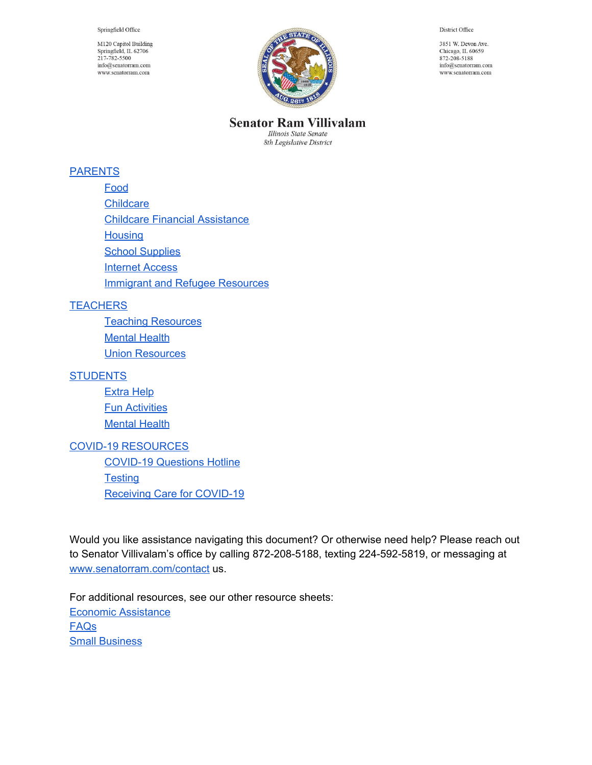Springfield Office

M120 Capitol Building Springfield, IL 62706 217-782-5500  $info@senatorram.com$ www.senatorram.com



District Office

3851 W. Devon Ave. Chicago, IL 60659 872-208-5188 info@senatorram.com www.senatorram.com

**Senator Ram Villivalam** 

Illinois State Senate 8th Legislative District

#### [PARENTS](#page-1-0)

- [Food](#page-1-1)
- **[Childcare](#page-3-0)**
- Childcare Financial [Assistance](#page-4-0)
- **[Housing](#page-5-0)**
- School [Supplies](#page-6-0)
- [Internet](#page-6-1) Access
- Immigrant and Refugee [Resources](#page-7-0)

#### **[TEACHERS](#page-8-0)**

Teaching [Resources](#page-8-1) **[Mental](#page-9-0) Health** Union [Resources](#page-10-0)

#### **[STUDENTS](#page-10-1)**

[Extra](#page-10-2) Help **Fun [Activities](#page-11-0) [Mental](#page-12-0) Health** 

#### COVID-19 [RESOURCES](#page-14-0)

[COVID-19](#page-14-1) Questions Hotline **[Testing](#page-14-2)** Receiving Care for [COVID-19](#page-14-3)

Would you like assistance navigating this document? Or otherwise need help? Please reach out to Senator Villivalam's office by calling 872-208-5188, texting 224-592-5819, or messaging at [www.senatorram.com/contact](http://www.senatorram.com/contact) us.

For additional resources, see our other resource sheets: Economic [Assistance](https://docs.google.com/document/d/13nRu-09VDYTlcMO_etShaMj6OzWXqqZ89nOTMnza43c/edit) [FAQs](https://docs.google.com/document/d/1F8V_FT3-4nh_nzTi6RRRty-qEbLDFree_J6X0YbDudw/edit) Small [Business](https://docs.google.com/document/d/19KWjnJLNtnUsG4h_DF1KL8IcFzwvO5GQrbNE3u6TXog/edit#)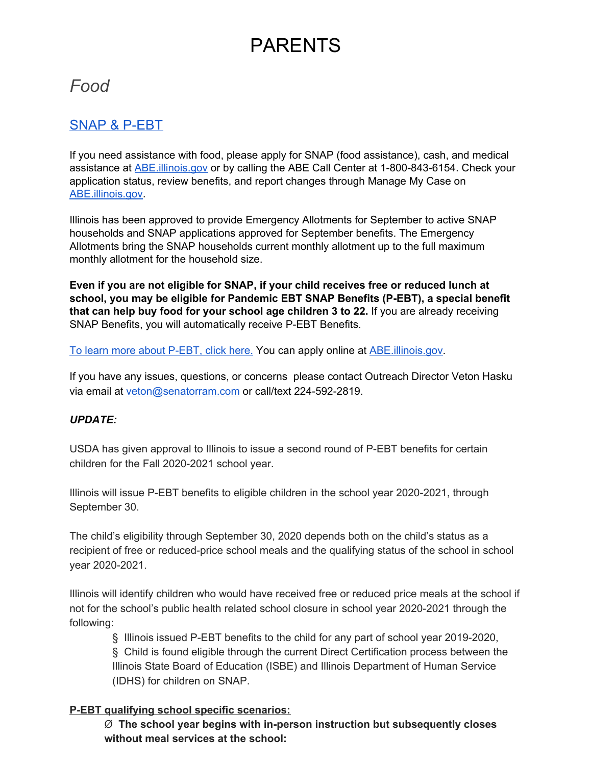# PARENTS

## <span id="page-1-1"></span><span id="page-1-0"></span>*Food*

### SNAP & P-EBT

If you need assistance with food, please apply for SNAP (food assistance), cash, and medical assistance at [ABE.illinois.gov](http://abe.illinois.gov/) or by calling the ABE Call Center at 1-800-843-6154. Check your application status, review benefits, and report changes through Manage My Case on [ABE.illinois.gov.](http://abe.illinois.gov/)

Illinois has been approved to provide Emergency Allotments for September to active SNAP households and SNAP applications approved for September benefits. The Emergency Allotments bring the SNAP households current monthly allotment up to the full maximum monthly allotment for the household size.

**Even if you are not eligible for SNAP, if your child receives free or reduced lunch at school, you may be eligible for Pandemic EBT SNAP Benefits (P-EBT), a special benefit that can help buy food for your school age children 3 to 22.** If you are already receiving SNAP Benefits, you will automatically receive P-EBT Benefits.

To learn more about [P-EBT,](https://www.dhs.state.il.us/page.aspx?item=124142) click here. You can apply online at [ABE.illinois.gov](http://abe.illinois.gov/).

If you have any issues, questions, or concerns please contact Outreach Director Veton Hasku via email at [veton@senatorram.com](mailto:veton@senatorram.com) or call/text 224-592-2819.

#### *UPDATE:*

USDA has given approval to Illinois to issue a second round of P-EBT benefits for certain children for the Fall 2020-2021 school year.

Illinois will issue P-EBT benefits to eligible children in the school year 2020-2021, through September 30.

The child's eligibility through September 30, 2020 depends both on the child's status as a recipient of free or reduced-price school meals and the qualifying status of the school in school year 2020-2021.

Illinois will identify children who would have received free or reduced price meals at the school if not for the school's public health related school closure in school year 2020-2021 through the following:

§ Illinois issued P-EBT benefits to the child for any part of school year 2019-2020, § Child is found eligible through the current Direct Certification process between the Illinois State Board of Education (ISBE) and Illinois Department of Human Service (IDHS) for children on SNAP.

#### **P-EBT qualifying school specific scenarios:**

Ø **The school year begins with in-person instruction but subsequently closes without meal services at the school:**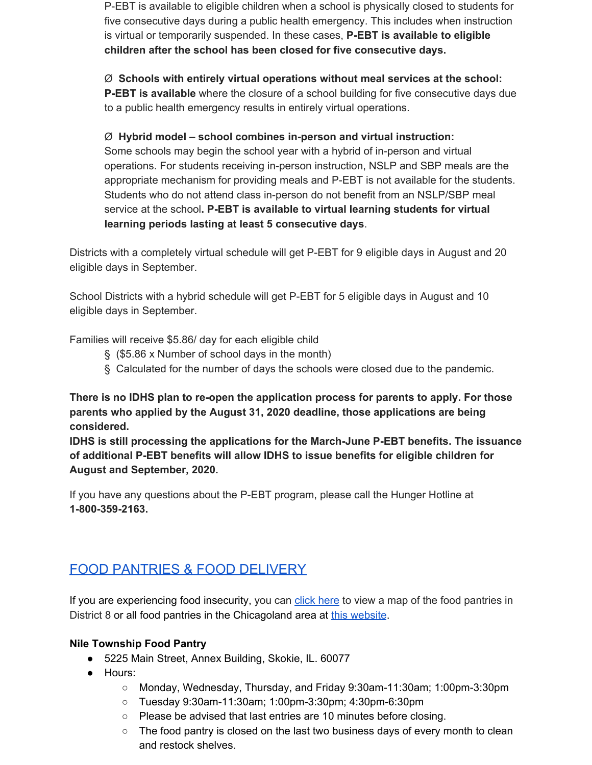P-EBT is available to eligible children when a school is physically closed to students for five consecutive days during a public health emergency. This includes when instruction is virtual or temporarily suspended. In these cases, **P-EBT is available to eligible children after the school has been closed for five consecutive days.**

#### Ø **Schools with entirely virtual operations without meal services at the school:**

**P-EBT is available** where the closure of a school building for five consecutive days due to a public health emergency results in entirely virtual operations.

#### Ø **Hybrid model – school combines in-person and virtual instruction:**

Some schools may begin the school year with a hybrid of in-person and virtual operations. For students receiving in-person instruction, NSLP and SBP meals are the appropriate mechanism for providing meals and P-EBT is not available for the students. Students who do not attend class in-person do not benefit from an NSLP/SBP meal service at the school**. P-EBT is available to virtual learning students for virtual learning periods lasting at least 5 consecutive days**.

Districts with a completely virtual schedule will get P-EBT for 9 eligible days in August and 20 eligible days in September.

School Districts with a hybrid schedule will get P-EBT for 5 eligible days in August and 10 eligible days in September.

Families will receive \$5.86/ day for each eligible child

- § (\$5.86 x Number of school days in the month)
- § Calculated for the number of days the schools were closed due to the pandemic.

**There is no IDHS plan to re-open the application process for parents to apply. For those parents who applied by the August 31, 2020 deadline, those applications are being considered.**

**IDHS is still processing the applications for the March-June P-EBT benefits. The issuance of additional P-EBT benefits will allow IDHS to issue benefits for eligible children for August and September, 2020.**

If you have any questions about the P-EBT program, please call the Hunger Hotline at **1-800-359-2163.**

## FOOD PANTRIES & FOOD DELIVERY

If you are experiencing food insecurity, you can click [here](https://drive.google.com/open?id=1CbPIBMtKCfaMrmQt78mszLE1_6iGhXxb&usp=sharing) to view a map of the food pantries in District 8 or all food pantries in the Chicagoland area at this [website](https://www.chicagosfoodbank.org/find-food/).

#### **Nile Township Food Pantry**

- 5225 Main Street, Annex Building, Skokie, IL. 60077
- Hours:
	- Monday, Wednesday, Thursday, and Friday 9:30am-11:30am; 1:00pm-3:30pm
	- Tuesday 9:30am-11:30am; 1:00pm-3:30pm; 4:30pm-6:30pm
	- Please be advised that last entries are 10 minutes before closing.
	- $\circ$  The food pantry is closed on the last two business days of every month to clean and restock shelves.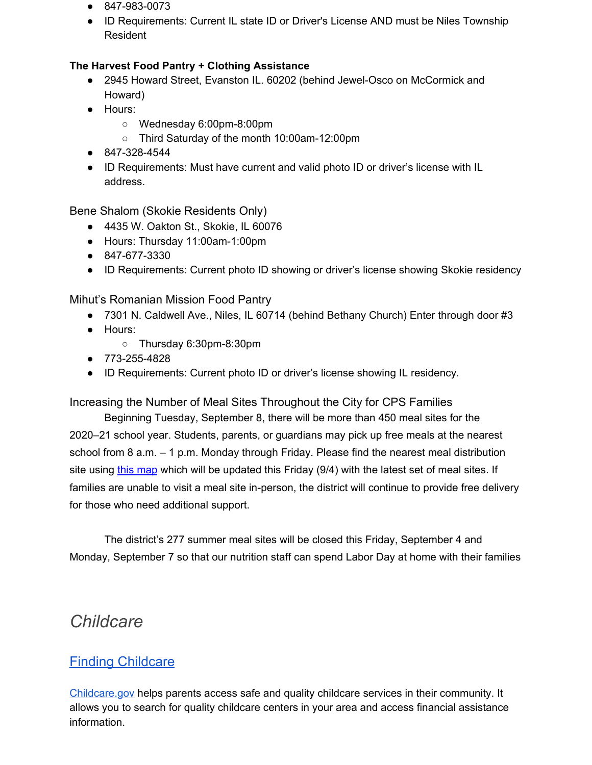- 847-983-0073
- ID Requirements: Current IL state ID or Driver's License AND must be Niles Township Resident

#### **The Harvest Food Pantry + Clothing Assistance**

- 2945 Howard Street, Evanston IL. 60202 (behind Jewel-Osco on McCormick and Howard)
- Hours:
	- Wednesday 6:00pm-8:00pm
	- Third Saturday of the month 10:00am-12:00pm
- 847-328-4544
- ID Requirements: Must have current and valid photo ID or driver's license with IL address.

Bene Shalom (Skokie Residents Only)

- 4435 W. Oakton St., Skokie, IL 60076
- Hours: Thursday 11:00am-1:00pm
- 847-677-3330
- ID Requirements: Current photo ID showing or driver's license showing Skokie residency

Mihut's Romanian Mission Food Pantry

- 7301 N. Caldwell Ave., Niles, IL 60714 (behind Bethany Church) Enter through door #3
- Hours:
	- Thursday 6:30pm-8:30pm
- 773-255-4828
- ID Requirements: Current photo ID or driver's license showing IL residency.

Increasing the Number of Meal Sites Throughout the City for CPS Families

Beginning Tuesday, September 8, there will be more than 450 meal sites for the 2020–21 school year. Students, parents, or guardians may pick up free meals at the nearest school from 8 a.m. – 1 p.m. Monday through Friday. Please find the nearest meal distribution si[t](https://t.e2ma.net/click/5apjdn/t5sldm/1z9k2df)e using this [map](https://t.e2ma.net/click/5apjdn/t5sldm/1z9k2df) which will be updated this Friday (9/4) with the latest set of meal sites. If families are unable to visit a meal site in-person, the district will continue to provide free delivery for those who need additional support.

The district's 277 summer meal sites will be closed this Friday, September 4 and Monday, September 7 so that our nutrition staff can spend Labor Day at home with their families

## <span id="page-3-0"></span>*Childcare*

## Finding [Childcare](https://childcare.gov/)

[Childcare.gov](https://childcare.gov/) helps parents access safe and quality childcare services in their community. It allows you to search for quality childcare centers in your area and access financial assistance information.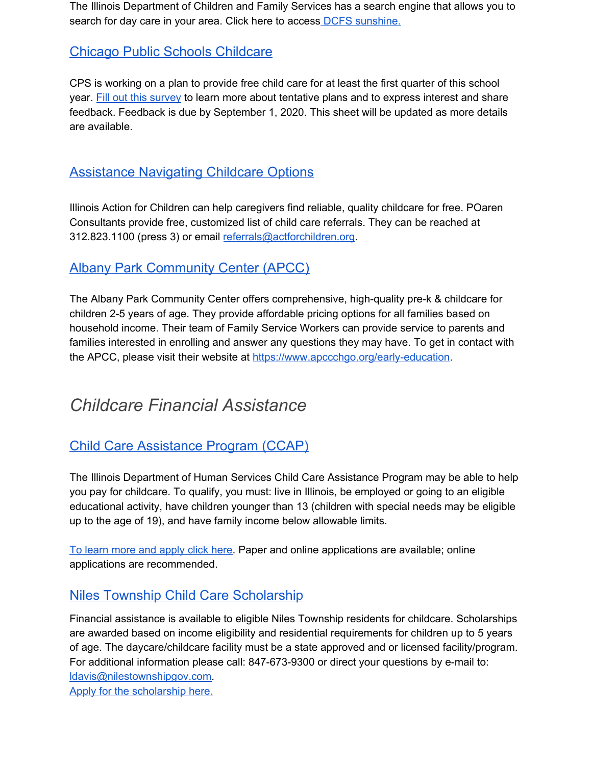The Illinois Department of Children and Family Services has a search engine that allows you to search for day care in your area. Click here to access **DCFS** [sunshine.](https://sunshine.dcfs.illinois.gov/Content/Licensing/Daycare/ProviderLookup.aspx)

### Chicago Public Schools [Childcare](https://docs.google.com/forms/d/e/1FAIpQLSeClUC8ZD-cbvkxmgKzT6X09qFd_X2uLhCaU2QzLgx_jMHZfw/viewform)

CPS is working on a plan to provide free child care for at least the first quarter of this school year. Fill out this [survey](https://docs.google.com/forms/d/e/1FAIpQLSeClUC8ZD-cbvkxmgKzT6X09qFd_X2uLhCaU2QzLgx_jMHZfw/viewform) to learn more about tentative plans and to express interest and share feedback. Feedback is due by September 1, 2020. This sheet will be updated as more details are available.

## [Assistance](https://www.actforchildren.org/for-families/finding-child-care/) Navigating Childcare Options

Illinois Action for Children can help caregivers find reliable, quality childcare for free. POaren Consultants provide free, customized list of child care referrals. They can be reached at 312.823.1100 (press 3) or email [referrals@actforchildren.org.](mailto:referrals@actforchildren.org)

## Albany Park Community Center (APCC)

The Albany Park Community Center offers comprehensive, high-quality pre-k & childcare for children 2-5 years of age. They provide affordable pricing options for all families based on household income. Their team of Family Service Workers can provide service to parents and families interested in enrolling and answer any questions they may have. To get in contact with the APCC, please visit their website at [https://www.apccchgo.org/early-education.](https://www.apccchgo.org/early-education)

## <span id="page-4-0"></span>*Childcare Financial Assistance*

## Child Care [Assistance](https://www.dhs.state.il.us/page.aspx?item=104995) Program (CCAP)

The Illinois Department of Human Services Child Care Assistance Program may be able to help you pay for childcare. To qualify, you must: live in Illinois, be employed or going to an eligible educational activity, have children younger than 13 (children with special needs may be eligible up to the age of 19), and have family income below allowable limits.

To learn more and [apply](https://www.dhs.state.il.us/page.aspx?item=104995) click here. Paper and online applications are available; online applications are recommended.

### Niles Township Child Care Scholarship

Financial assistance is available to eligible Niles Township residents for childcare. Scholarships are awarded based on income eligibility and residential requirements for children up to 5 years of age. The daycare/childcare facility must be a state approved and or licensed facility/program. For additional information please call: 847-673-9300 or direct your questions by e-mail to: [ldavis@nilestownshipgov.com.](mailto:ldavis@nilestownshipgov.com)

Apply for the [scholarship](http://nilestownshipgov.com/child-care/) here.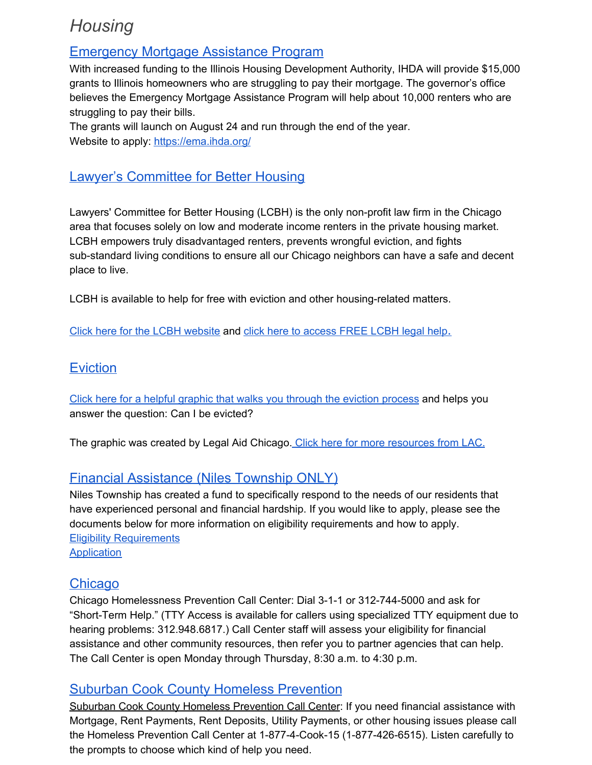## <span id="page-5-0"></span>*Housing*

### **Emergency Mortgage Assistance Program**

With increased funding to the Illinois Housing Development Authority, IHDA will provide \$15,000 grants to Illinois homeowners who are struggling to pay their mortgage. The governor's office believes the Emergency Mortgage Assistance Program will help about 10,000 renters who are struggling to pay their bills.

The grants will launch on August 24 and run through the end of the year. Website to apply: <https://ema.ihda.org/>

## Lawyer's Committee for Better Housing

Lawyers' Committee for Better Housing (LCBH) is the only non-profit law firm in the Chicago area that focuses solely on low and moderate income renters in the private housing market. LCBH empowers truly disadvantaged renters, prevents wrongful eviction, and fights sub-standard living conditions to ensure all our Chicago neighbors can have a safe and decent place to live.

LCBH is available to help for free with eviction and other housing-related matters.

Click here for the LCBH [website](https://lcbh.org/) and click here to [access](https://lcbh.org/get-legal-help) FREE LCBH legal help.

## **Eviction**

Click here for a helpful graphic that walks you through the eviction [process](https://www.legalaidchicago.org/wp-content/uploads/2020/03/COVID-eviction-flyer-updated-6.3.2020.pdf) and helps you answer the question: Can I be evicted?

The graphic was created by Legal Aid Chicago. Click here for more [resources](https://www.legalaidchicago.org/) from LAC.

### Financial Assistance (Niles Township ONLY)

Niles Township has created a fund to specifically respond to the needs of our residents that have experienced personal and financial hardship. If you would like to apply, please see the documents below for more information on eligibility requirements and how to apply. Eligibility [Requirements](https://drive.google.com/file/d/1qNlyJ71K5kfTeP4nx4Zg9lTo_y1AEy26/view?usp=sharing) **[Application](https://drive.google.com/file/d/1KMfZc7HXWEfxbwEf_ps_sWYLN6A17TzY/view?usp=sharing)** 

### **Chicago**

Chicago Homelessness Prevention Call Center: Dial 3-1-1 or 312-744-5000 and ask for "Short-Term Help." (TTY Access is available for callers using specialized TTY equipment due to hearing problems: 312.948.6817.) Call Center staff will assess your eligibility for financial assistance and other community resources, then refer you to partner agencies that can help. The Call Center is open Monday through Thursday, 8:30 a.m. to 4:30 p.m.

### Suburban Cook County Homeless Prevention

Suburban Cook County Homeless Prevention Call Center: If you need financial assistance with Mortgage, Rent Payments, Rent Deposits, Utility Payments, or other housing issues please call the Homeless Prevention Call Center at 1-877-4-Cook-15 (1-877-426-6515). Listen carefully to the prompts to choose which kind of help you need.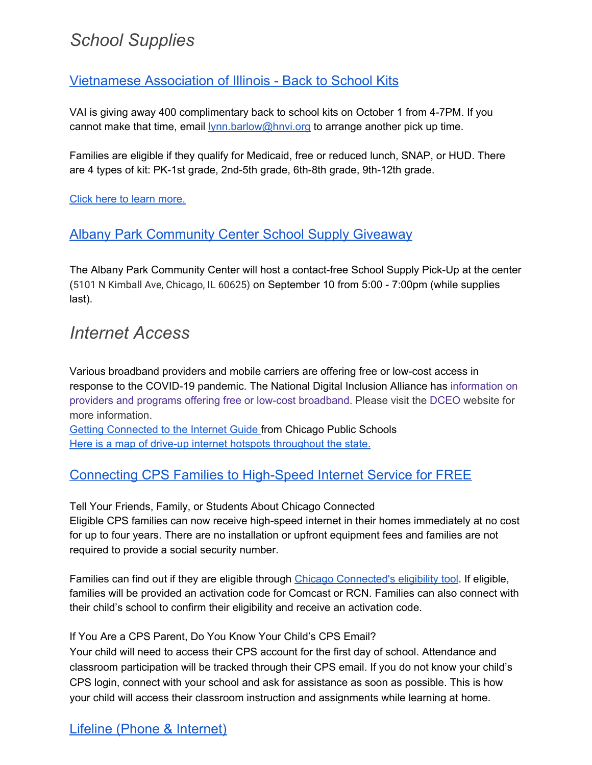## <span id="page-6-0"></span>*School Supplies*

## [Vietnamese](https://files.constantcontact.com/a6cecb67401/51ad73ce-644b-4fb7-b1e8-047c9553946a.pdf) Association of Illinois - Back to School Kits

VAI is giving away 400 complimentary back to school kits on October 1 from 4-7PM. If you cannot make that time, email [lynn.barlow@hnvi.org](mailto:lynn.barlow@hnvi.org) to arrange another pick up time.

Families are eligible if they qualify for Medicaid, free or reduced lunch, SNAP, or HUD. There are 4 types of kit: PK-1st grade, 2nd-5th grade, 6th-8th grade, 9th-12th grade.

Click here to learn [more.](https://files.constantcontact.com/a6cecb67401/51ad73ce-644b-4fb7-b1e8-047c9553946a.pdf)

### Albany Park Community Center School Supply Giveaway

The Albany Park Community Center will host a contact-free School Supply Pick-Up at the center (5101 N Kimball Ave, Chicago, IL 60625) on September 10 from 5:00 - 7:00pm (while supplies last).

## <span id="page-6-1"></span>*Internet Access*

Various broadband providers and mobile carriers are offering free or low-cost access in response to the COVID-19 pandemic. The National Digital Inclusion Alliance has [information](https://www.digitalinclusion.org/free-low-cost-internet-plans/) on providers and programs offering free or low-cost [broadband.](https://www.digitalinclusion.org/free-low-cost-internet-plans/) Please visit the [DCEO](https://www2.illinois.gov/dceo/ConnectIllinois/Pages/LowCostBroadband.aspx) website for more information.

Getting [Connected](https://docs.google.com/document/d/1ejwEUTt56mDdcNUDQ2oLFlL--qhC3qe-lhlOe5mD4gs/edit?usp=sharing) to the Internet Guide from Chicago Public Schools Here is a map of drive-up internet hotspots [throughout](http://illinois.maps.arcgis.com/apps/webappviewer/index.html?id=23e8046edd2940bc8ad3ad1725e47cd0) the state.

## Connecting CPS Families to High-Speed Internet Service for FREE

Tell Your Friends, Family, or Students About Chicago Connected Eligible CPS families can now receive high-speed internet in their homes immediately at no cost for up to four years. There are no installation or upfront equipment fees and families are not required to provide a social security number.

Families can find out if they are eligible through Chicago [Connected's](http://cps.edu/getconnected) eligibility tool. If eligible, families will be provided an activation code for Comcast or RCN. Families can also connect with their child's school to confirm their eligibility and receive an activation code.

#### If You Are a CPS Parent, Do You Know Your Child's CPS Email?

Your child will need to access their CPS account for the first day of school. Attendance and classroom participation will be tracked through their CPS email. If you do not know your child's CPS login, connect with your school and ask for assistance as soon as possible. This is how your child will access their classroom instruction and assignments while learning at home.

## Lifeline (Phone & Internet)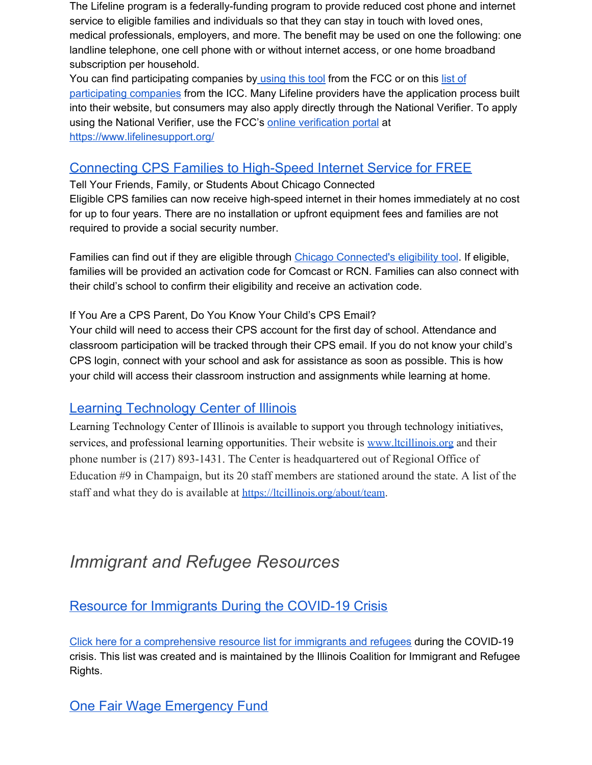The Lifeline program is a federally-funding program to provide reduced cost phone and internet service to eligible families and individuals so that they can stay in touch with loved ones, medical professionals, employers, and more. The benefit may be used on one the following: one landline telephone, one cell phone with or without internet access, or one home broadband subscription per household.

You can find participating companies by [using](https://marjoriecommunications.us4.list-manage.com/track/click?u=1ddc5e53f4bad1031a01384fe&id=2968cdb6b3&e=7b4aa491e7) this tool from the FCC or on this [list](https://marjoriecommunications.us4.list-manage.com/track/click?u=1ddc5e53f4bad1031a01384fe&id=f893f76cd2&e=7b4aa491e7) of [participating](https://marjoriecommunications.us4.list-manage.com/track/click?u=1ddc5e53f4bad1031a01384fe&id=f893f76cd2&e=7b4aa491e7) companies from the ICC. Many Lifeline providers have the application process built into their website, but consumers may also apply directly through the National Verifier. To apply using the National Verifier, use the FCC's online [verification](https://marjoriecommunications.us4.list-manage.com/track/click?u=1ddc5e53f4bad1031a01384fe&id=338afc3535&e=7b4aa491e7) portal at [https://www.lifelinesupport.org/](https://marjoriecommunications.us4.list-manage.com/track/click?u=1ddc5e53f4bad1031a01384fe&id=b128c43506&e=7b4aa491e7)

### Connecting CPS Families to High-Speed Internet Service for FREE

Tell Your Friends, Family, or Students About Chicago Connected Eligible CPS families can now receive high-speed internet in their homes immediately at no cost for up to four years. There are no installation or upfront equipment fees and families are not required to provide a social security number.

Families can find out if they are eligible through Chicago [Connected's](http://cps.edu/getconnected) eligibility tool. If eligible, families will be provided an activation code for Comcast or RCN. Families can also connect with their child's school to confirm their eligibility and receive an activation code.

#### If You Are a CPS Parent, Do You Know Your Child's CPS Email?

Your child will need to access their CPS account for the first day of school. Attendance and classroom participation will be tracked through their CPS email. If you do not know your child's CPS login, connect with your school and ask for assistance as soon as possible. This is how your child will access their classroom instruction and assignments while learning at home.

#### Learning Technology Center of Illinois

Learning Technology Center of Illinois is available to support you through technology initiatives, services, and professional learning opportunities. Their website is [www.ltcillinois.org](http://www.ltcillinois.org/) and their phone number is (217) 893-1431. The Center is headquartered out of Regional Office of Education #9 in Champaign, but its 20 staff members are stationed around the state. A list of the staff and what they do is available at [https://ltcillinois.org/about/team](https://ltcillinois.org/about/team/).

## <span id="page-7-0"></span>*Immigrant and Refugee Resources*

Resource for Immigrants During the COVID-19 Crisis

Click here for a [comprehensive](https://docs.google.com/document/d/1_FkBlQh4AIuGm3_rQAVBIHmDM-j5cxatvnIoxEIbmCc/edit) resource list for immigrants and refugees during the COVID-19 crisis. This list was created and is maintained by the Illinois Coalition for Immigrant and Refugee Rights.

One Fair Wage Emergency Fund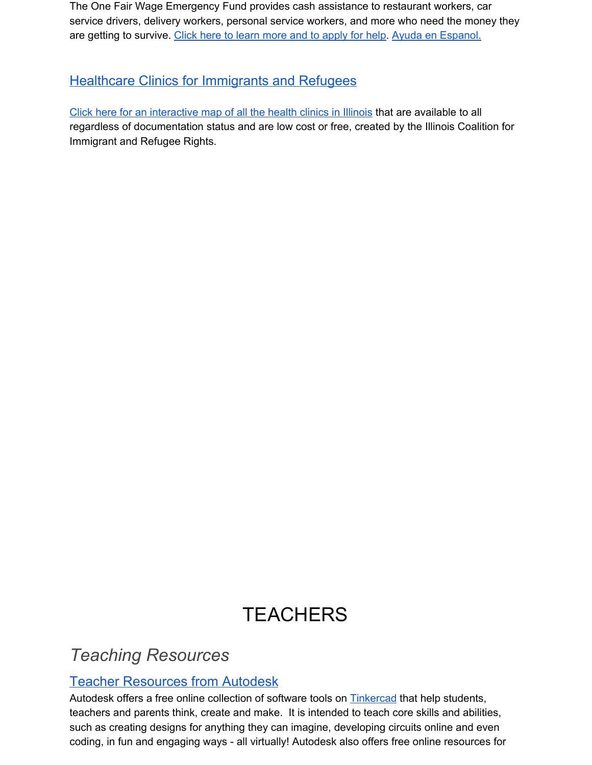The One Fair Wage Emergency Fund provides cash assistance to restaurant workers, car service drivers, delivery workers, personal service workers, and more who need the money they are getting to survive. Click here to learn more and to [apply](https://ofwemergencyfund.org/) for help. Ayuda en [Espanol.](https://ofwemergencyfund.org/ayuda)

## **Healthcare Clinics for Immigrants and Refugees**

Click here for an [interactive](https://www.icirr.org/healthcare-resources-inter-map) map of all the health clinics in Illinois that are available to all regardless of documentation status and are low cost or free, created by the Illinois Coalition for Immigrant and Refugee Rights.

# **TEACHERS**

## <span id="page-8-1"></span><span id="page-8-0"></span>*Teaching Resources*

## Teacher Resources from Autodesk

Autodesk offers a free online collection of software tools on **[Tinkercad](https://www.tinkercad.com/)** that help students, teachers and parents think, create and make. It is intended to teach core skills and abilities, such as creating designs for anything they can imagine, developing circuits online and even coding, in fun and engaging ways - all virtually! Autodesk also offers free online resources for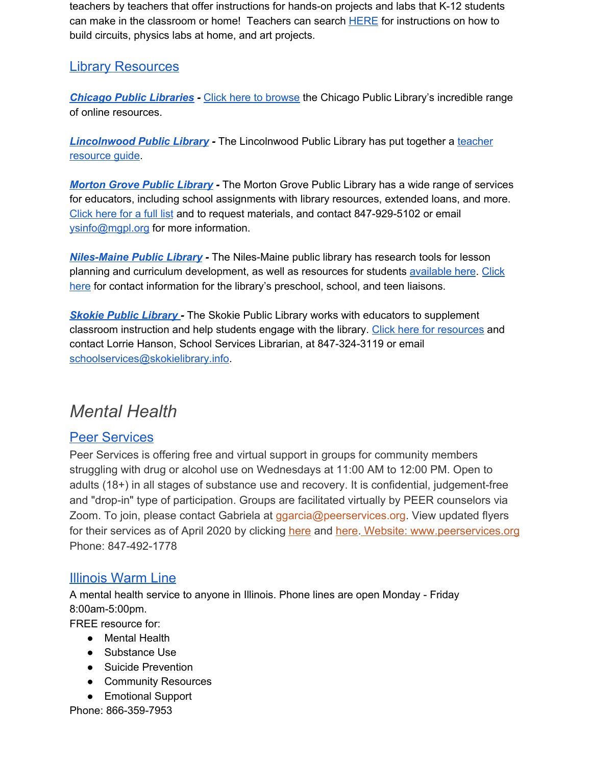teachers by teachers that offer instructions for hands-on projects and labs that K-12 students can make in the classroom or home! Teachers can search **[HERE](https://www.instructables.com/teachers/)** for instructions on how to build circuits, physics labs at home, and art projects.

### Library Resources

*Chicago Public [Libraries](https://www.chipublib.org/) -* Click here to [browse](https://www.chipublib.org/online-resources-2/) the Chicago Public Library's incredible range of online resources.

*[Lincolnwood](https://lincolnwoodlibrary.org/) Public Library -* The Lincolnwood Public Library has put together a [teacher](https://lincolnwoodlibrary.org/kids-events/teachers-guide/) [resource](https://lincolnwoodlibrary.org/kids-events/teachers-guide/) guide.

*[Morton](https://www.mgpl.org/) Grove Public Library -* The Morton Grove Public Library has a wide range of services for educators, including school assignments with library resources, extended loans, and more. [Click](http://mgpl.org/educators) here for a full list and to request materials, and contact 847-929-5102 or email [ysinfo@mgpl.org](mailto:ysinfo@mgpl.org) for more information.

*[Niles-Maine](https://www.nileslibrary.org/) Public Library -* The Niles-Maine public library has research tools for lesson planning and curriculum development, as well as resources for students [available](https://www.nileslibrary.org/teachers) here. [Click](https://www.nileslibrary.org/teacher-services) [here](https://www.nileslibrary.org/teacher-services) for contact information for the library's preschool, school, and teen liaisons.

*Skokie Public [Library](https://skokielibrary.info/services/educators-schools/) -* The Skokie Public Library works with educators to supplement classroom instruction and help students engage with the library. Click here for [resources](https://skokielibrary.info/services/educators-schools/) and contact Lorrie Hanson, School Services Librarian, at 847-324-3119 or email [schoolservices@skokielibrary.info](mailto:schoolservices@skokielibrary.info).

## <span id="page-9-0"></span>*Mental Health*

### Peer Services

Peer Services is offering free and virtual support in groups for community members struggling with drug or alcohol use on Wednesdays at 11:00 AM to 12:00 PM. Open to adults (18+) in all stages of substance use and recovery. It is confidential, judgement-free and "drop-in" type of participation. Groups are facilitated virtually by PEER counselors via Zoom. To join, please contact Gabriela at ggarcia@peerservices.org. View updated flyers for their services as of April 2020 by clicking [here](https://www.skokie.org/DocumentCenter/View/3605) and here. Website: [www.peerservices.org](https://www.peerservices.org/) Phone: 847-492-1778

### [Illinois](https://static1.squarespace.com/static/57a7a158c534a5bcfbe3b4c3/t/5ddd8042238a18316c53c466/1574797380064/Warm+Line+Brochure+6.5.18+tjh.pdf) Warm Line

A mental health service to anyone in Illinois. Phone lines are open Monday - Friday 8:00am-5:00pm.

FREE resource for:

- Mental Health
- Substance Use
- Suicide Prevention
- Community Resources
- Emotional Support

Phone: 866-359-7953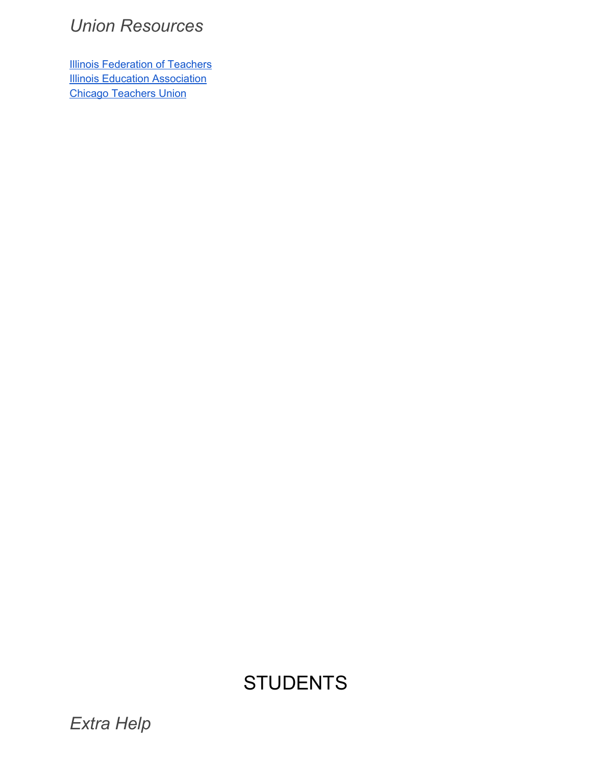## <span id="page-10-0"></span>*Union Resources*

**Illinois [Federation](https://www.ift-aft.org/covid) of Teachers Illinois Education [Association](https://ieanea.org/resources/)** Chicago [Teachers](https://www.ctulocal1.org/covid19/resources/) Union

# **STUDENTS**

<span id="page-10-2"></span><span id="page-10-1"></span>*Extra Help*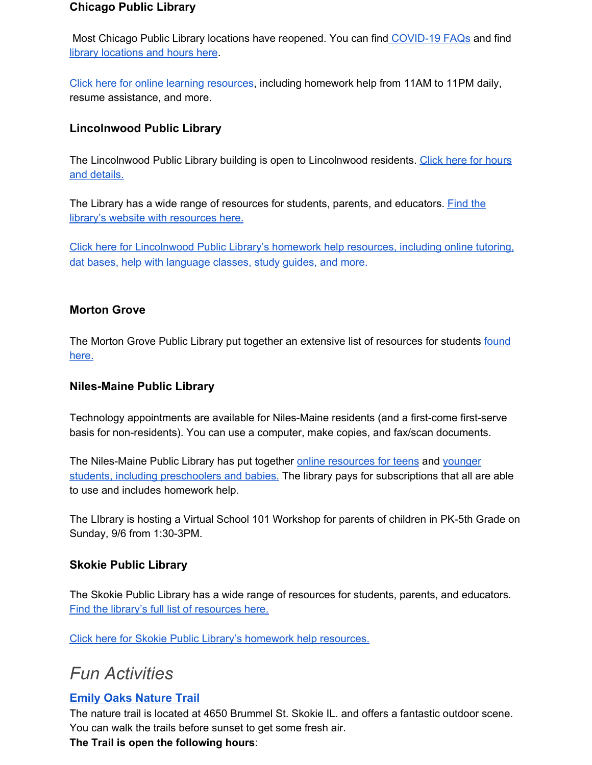#### **Chicago Public Library**

Most Chicago Public Library locations have reopened. You can find [COVID-19](https://www.chipublib.org/faq/covid-19-reopening/?_ga=2.183422182.1766970376.1597412852-2083650044.1579274603#facilities-2) FAQs and find library [locations](https://chipublib.bibliocommons.com/locations/?_ga=2.254837448.1729501979.1598902914-48143669.1598902914) and hours here.

Click here for online learning [resources](https://www.chipublib.org/resources-types/learning/), including homework help from 11AM to 11PM daily, resume assistance, and more.

#### **Lincolnwood Public Library**

The Lincolnwood Public Library building is open to Lincolnwood residents. Click here for [hours](https://lincolnwoodlibrary.org/reopening/) and [details.](https://lincolnwoodlibrary.org/reopening/)

The Library has a wide range of resources for students, parents, and educators. [Find](https://lincolnwoodlibrary.org/kids-events/kids-teens-home/#) the library's website with [resources](https://lincolnwoodlibrary.org/kids-events/kids-teens-home/#) here.

Click here for [Lincolnwood](https://lincolnwoodlibrary.org/kids-events/homework-help/) Public Library's homework help resources, including online tutoring, dat bases, help with [language](https://lincolnwoodlibrary.org/kids-events/homework-help/) classes, study guides, and more[.](https://lincolnwoodlibrary.org/kids-events/homework-help/)

#### **Morton Grove**

The Morton Grove Public Library put together an extensive list of resources for students [found](https://www.mgpl.org/blog/how-library-can-support-your-school-year) [here.](https://www.mgpl.org/blog/how-library-can-support-your-school-year)

#### **Niles-Maine Public Library**

Technology appointments are available for Niles-Maine residents (and a first-come first-serve basis for non-residents). You can use a computer, make copies, and fax/scan documents.

The Niles-Maine Public Library has put together online [resources](https://www.nileslibrary.org/homework-help) for teens and [younger](https://www.nileslibrary.org/kids) students, including [preschoolers](https://www.nileslibrary.org/kids) and babies. The library pays for subscriptions that all are able to use and includes homework help.

The LIbrary is hosting a Virtual School 101 Workshop for parents of children in PK-5th Grade on Sunday, 9/6 from 1:30-3PM.

#### **Skokie Public Library**

The Skokie Public Library has a wide range of resources for students, parents, and educators. Find the library's full list of [resources](https://skokielibrary.info/services/educators-schools/) here.

<span id="page-11-0"></span>Click here for Skokie Public Library's homework help [resources.](https://skokielibrary.info/resources/homework-help/)

## *Fun Activities*

#### **Emily Oaks Nature Trail**

The nature trail is located at 4650 Brummel St. Skokie IL. and offers a fantastic outdoor scene. You can walk the trails before sunset to get some fresh air.

**The Trail is open the following hours**: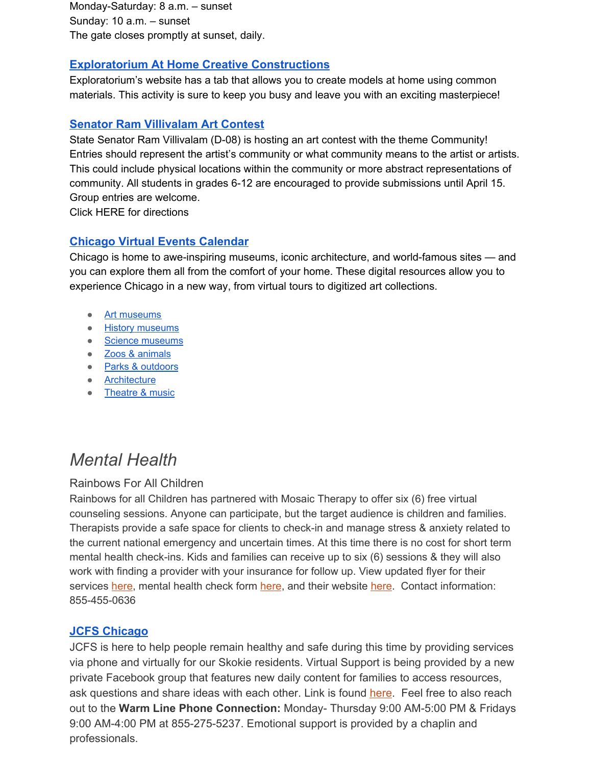Monday-Saturday: 8 a.m. – sunset Sunday: 10 a.m. – sunset The gate closes promptly at sunset, daily.

#### **[Exploratorium At Home Creative Constructions](https://www.exploratorium.edu/tinkering/our-work/creative-constructions)**

Exploratorium's website has a tab that allows you to create models at home using common materials. This activity is sure to keep you busy and leave you with an exciting masterpiece!

#### **Senator Ram Villivalam Art Contest**

State Senator Ram Villivalam (D-08) is hosting an art contest with the theme Community! Entries should represent the artist's community or what community means to the artist or artists. This could include physical locations within the community or more abstract representations of community. All students in grades 6-12 are encouraged to provide submissions until April 15. Group entries are welcome.

Click HERE for directions

#### **[Chicago Virtual Events Calendar](https://www.choosechicago.com/blog/tours-attractions/experience-chicago-online-virtual-tours-digital-experiences/)**

Chicago is home to awe-inspiring museums, iconic architecture, and world-famous sites — and you can explore them all from the comfort of your home. These digital resources allow you to experience Chicago in a new way, from virtual tours to digitized art collections.

- Art [museums](https://www.choosechicago.com/blog/tours-attractions/experience-chicago-online-virtual-tours-digital-experiences/#art)
- History [museums](https://www.choosechicago.com/blog/tours-attractions/experience-chicago-online-virtual-tours-digital-experiences/#history)
- Science [museums](https://www.choosechicago.com/blog/tours-attractions/experience-chicago-online-virtual-tours-digital-experiences/#science)
- Zoos & [animals](https://www.choosechicago.com/blog/tours-attractions/experience-chicago-online-virtual-tours-digital-experiences/#zoos)
- <u>Parks & [outdoors](https://www.choosechicago.com/blog/tours-attractions/experience-chicago-online-virtual-tours-digital-experiences/#parks)</u>
- [Architecture](https://www.choosechicago.com/blog/tours-attractions/experience-chicago-online-virtual-tours-digital-experiences/#architecture)
- [Theatre](https://www.choosechicago.com/blog/tours-attractions/experience-chicago-online-virtual-tours-digital-experiences/#theatre) & music

## <span id="page-12-0"></span>*Mental Health*

#### Rainbows For All Children

Rainbows for all Children has partnered with Mosaic Therapy to offer six (6) free virtual counseling sessions. Anyone can participate, but the target audience is children and families. Therapists provide a safe space for clients to check-in and manage stress & anxiety related to the current national emergency and uncertain times. At this time there is no cost for short term mental health check-ins. Kids and families can receive up to six (6) sessions & they will also work with finding a provider with your insurance for follow up. View updated flyer for their services [here](https://docs.google.com/forms/d/e/1FAIpQLSfHBh1PiPIlz1N-M2fWgnZMLdUpRkEEA2T-Mg_PLzuehWELLw/viewform), mental health check form here, and their website [here.](https://mosaictherapy.org/mosaictherapy-virtual-clinic/) Contact information: 855-455-0636

#### **JCFS Chicago**

JCFS is here to help people remain healthy and safe during this time by providing services via phone and virtually for our Skokie residents. Virtual Support is being provided by a new private Facebook group that features new daily content for families to access resources, ask questions and share ideas with each other. Link is found [here.](https://www.facebook.com/JCFSChicago/) Feel free to also reach out to the **Warm Line Phone Connection:** Monday- Thursday 9:00 AM-5:00 PM & Fridays 9:00 AM-4:00 PM at 855-275-5237. Emotional support is provided by a chaplin and professionals.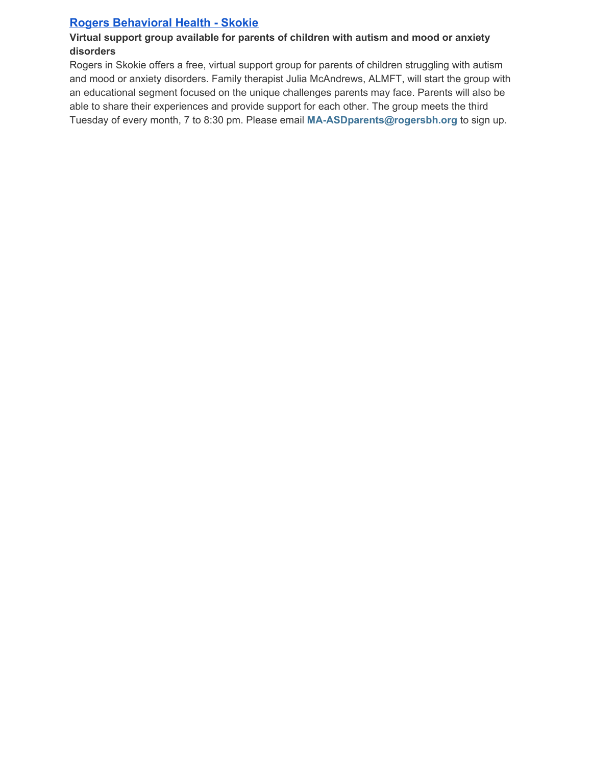#### **Rogers Behavioral Health - Skokie**

#### **Virtual support group available for parents of children with autism and mood or anxiety disorders**

Rogers in Skokie offers a free, virtual support group for parents of children struggling with autism and mood or anxiety disorders. Family therapist Julia McAndrews, ALMFT, will start the group with an educational segment focused on the unique challenges parents may face. Parents will also be able to share their experiences and provide support for each other. The group meets the third Tuesday of every month, 7 to 8:30 pm. Please email **MA-ASDparents@rogersbh.org** to sign up.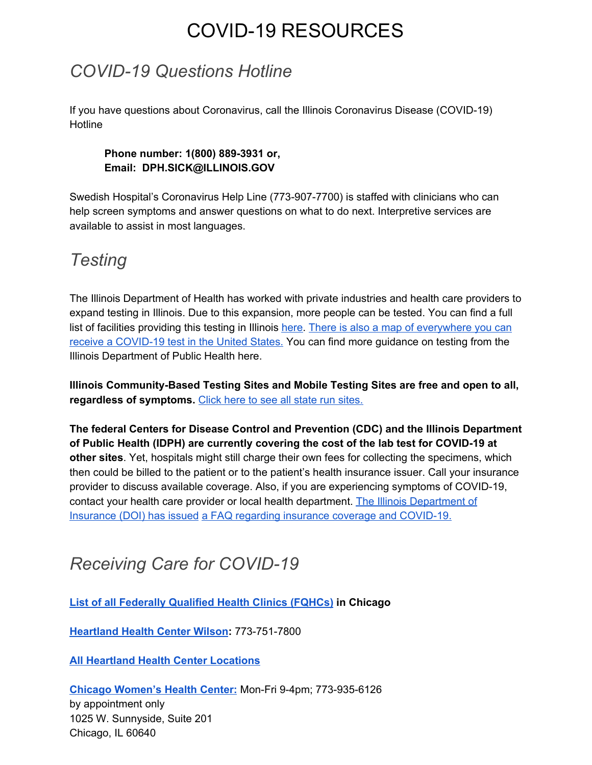# COVID-19 RESOURCES

## <span id="page-14-1"></span><span id="page-14-0"></span>*COVID-19 Questions Hotline*

If you have questions about Coronavirus, call the Illinois Coronavirus Disease (COVID-19) **Hotline** 

#### **Phone number: 1(800) 889-3931 or, Email: DPH.SICK@ILLINOIS.GOV**

Swedish Hospital's Coronavirus Help Line (773-907-7700) is staffed with clinicians who can help screen symptoms and answer questions on what to do next. Interpretive services are available to assist in most languages.

## <span id="page-14-2"></span>*Testing*

The Illinois Department of Health has worked with private industries and health care providers to expand testing in Illinois. Due to this expansion, more people can be tested. You can find a full list of facilities providing this testing in Illinois [here.](http://dph.illinois.gov/covid19/covid-19-testing-sites) There is also a map of [everywhere](https://giscorps.maps.arcgis.com/apps/webappviewer/index.html?id=2ec47819f57c40598a4eaf45bf9e0d16) you can receive a [COVID-19](https://giscorps.maps.arcgis.com/apps/webappviewer/index.html?id=2ec47819f57c40598a4eaf45bf9e0d16) test in the United States. You can find more guidance on testing from the Illinois Department of Public Health here.

**Illinois Community-Based Testing Sites and Mobile Testing Sites are free and open to all, regardless of symptoms.** Click here to see all state run [sites.](http://dph.illinois.gov/covid19/covid-19-testing-sites)

**The federal Centers for Disease Control and Prevention (CDC) and the Illinois Department of Public Health (IDPH) are currently covering the cost of the lab test for COVID-19 at other sites**. Yet, hospitals might still charge their own fees for collecting the specimens, which then could be billed to the patient or to the patient's health insurance issuer. Call your insurance provider to discuss available coverage. Also, if you are experiencing symptoms of COVID-19, contact your health care provider or local health department. The Illinois [Department](https://insurance.illinois.gov/Newsrls/2020/03/COVID-19-FAQ.pdf) of [Insurance](https://insurance.illinois.gov/Newsrls/2020/03/COVID-19-FAQ.pdf) (DOI) has issued a FAQ regarding insurance coverage and [COVID-19.](https://insurance.illinois.gov/Newsrls/2020/03/COVID-19-FAQ.pdf)

## <span id="page-14-3"></span>*Receiving Care for COVID-19*

**List of all [Federally](https://npidb.org/organizations/ambulatory_health_care/federally-qualified-health-centerfqhc_261qf0400x/il/?location=chicago&page=2) Qualified Health Clinics (FQHCs) in Chicago**

**[Heartland](https://www.heartlandhealthcenters.org/locations/hhc-wilson/) Health Center Wilson:** 773-751-7800

**All Heartland Health Center [Locations](https://www.heartlandhealthcenters.org/locations/)**

**Chicago [Women's](http://www.chicagowomenshealthcenter.org/) Health Center:** Mon-Fri 9-4pm; 773-935-6126 by appointment only 1025 W. Sunnyside, Suite 201 Chicago, IL 60640